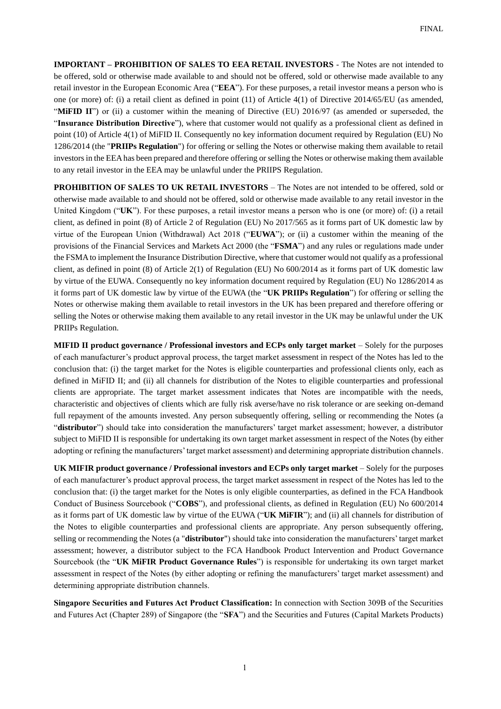**IMPORTANT – PROHIBITION OF SALES TO EEA RETAIL INVESTORS** - The Notes are not intended to be offered, sold or otherwise made available to and should not be offered, sold or otherwise made available to any retail investor in the European Economic Area ("**EEA**"). For these purposes, a retail investor means a person who is one (or more) of: (i) a retail client as defined in point (11) of Article 4(1) of Directive 2014/65/EU (as amended, "**MIFID II**") or (ii) a customer within the meaning of Directive (EU) 2016/97 (as amended or superseded, the "**Insurance Distribution Directive**"), where that customer would not qualify as a professional client as defined in point (10) of Article 4(1) of MiFID II. Consequently no key information document required by Regulation (EU) No 1286/2014 (the "**PRIIPs Regulation**") for offering or selling the Notes or otherwise making them available to retail investors in the EEA has been prepared and therefore offering or selling the Notes or otherwise making them available to any retail investor in the EEA may be unlawful under the PRIIPS Regulation.

**PROHIBITION OF SALES TO UK RETAIL INVESTORS** – The Notes are not intended to be offered, sold or otherwise made available to and should not be offered, sold or otherwise made available to any retail investor in the United Kingdom ("**UK**"). For these purposes, a retail investor means a person who is one (or more) of: (i) a retail client, as defined in point (8) of Article 2 of Regulation (EU) No 2017/565 as it forms part of UK domestic law by virtue of the European Union (Withdrawal) Act 2018 ("**EUWA**"); or (ii) a customer within the meaning of the provisions of the Financial Services and Markets Act 2000 (the "**FSMA**") and any rules or regulations made under the FSMA to implement the Insurance Distribution Directive, where that customer would not qualify as a professional client, as defined in point (8) of Article 2(1) of Regulation (EU) No 600/2014 as it forms part of UK domestic law by virtue of the EUWA. Consequently no key information document required by Regulation (EU) No 1286/2014 as it forms part of UK domestic law by virtue of the EUWA (the "**UK PRIIPs Regulation**") for offering or selling the Notes or otherwise making them available to retail investors in the UK has been prepared and therefore offering or selling the Notes or otherwise making them available to any retail investor in the UK may be unlawful under the UK PRIIPs Regulation.

**MIFID II product governance / Professional investors and ECPs only target market** – Solely for the purposes of each manufacturer's product approval process, the target market assessment in respect of the Notes has led to the conclusion that: (i) the target market for the Notes is eligible counterparties and professional clients only, each as defined in MiFID II; and (ii) all channels for distribution of the Notes to eligible counterparties and professional clients are appropriate. The target market assessment indicates that Notes are incompatible with the needs, characteristic and objectives of clients which are fully risk averse/have no risk tolerance or are seeking on-demand full repayment of the amounts invested. Any person subsequently offering, selling or recommending the Notes (a "**distributor**") should take into consideration the manufacturers' target market assessment; however, a distributor subject to MiFID II is responsible for undertaking its own target market assessment in respect of the Notes (by either adopting or refining the manufacturers' target market assessment) and determining appropriate distribution channels.

**UK MIFIR product governance / Professional investors and ECPs only target market** – Solely for the purposes of each manufacturer's product approval process, the target market assessment in respect of the Notes has led to the conclusion that: (i) the target market for the Notes is only eligible counterparties, as defined in the FCA Handbook Conduct of Business Sourcebook ("**COBS**"), and professional clients, as defined in Regulation (EU) No 600/2014 as it forms part of UK domestic law by virtue of the EUWA ("**UK MiFIR**"); and (ii) all channels for distribution of the Notes to eligible counterparties and professional clients are appropriate. Any person subsequently offering, selling or recommending the Notes (a "**distributor**") should take into consideration the manufacturers' target market assessment; however, a distributor subject to the FCA Handbook Product Intervention and Product Governance Sourcebook (the "**UK MiFIR Product Governance Rules**") is responsible for undertaking its own target market assessment in respect of the Notes (by either adopting or refining the manufacturers' target market assessment) and determining appropriate distribution channels.

**Singapore Securities and Futures Act Product Classification:** In connection with Section 309B of the Securities and Futures Act (Chapter 289) of Singapore (the "**SFA**") and the Securities and Futures (Capital Markets Products)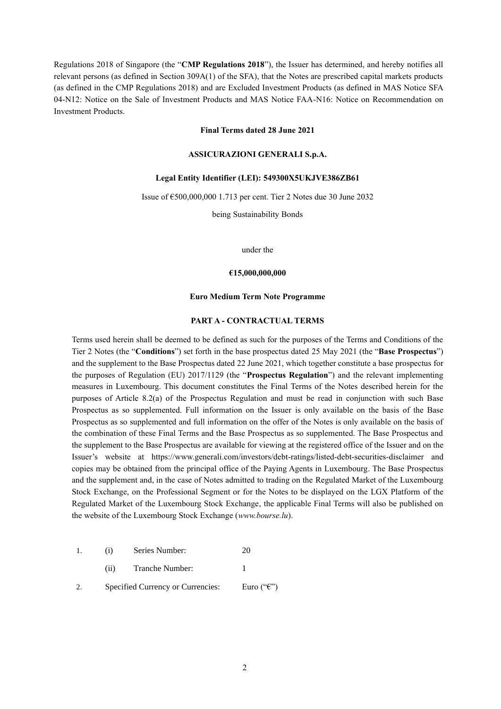Regulations 2018 of Singapore (the "**CMP Regulations 2018**"), the Issuer has determined, and hereby notifies all relevant persons (as defined in Section 309A(1) of the SFA), that the Notes are prescribed capital markets products (as defined in the CMP Regulations 2018) and are Excluded Investment Products (as defined in MAS Notice SFA 04-N12: Notice on the Sale of Investment Products and MAS Notice FAA-N16: Notice on Recommendation on Investment Products.

### **Final Terms dated 28 June 2021**

# **ASSICURAZIONI GENERALI S.p.A.**

#### **Legal Entity Identifier (LEI): 549300X5UKJVE386ZB61**

Issue of €500,000,000 1.713 per cent. Tier 2 Notes due 30 June 2032

being Sustainability Bonds

under the

### **€15,000,000,000**

#### **Euro Medium Term Note Programme**

#### **PART A - CONTRACTUAL TERMS**

Terms used herein shall be deemed to be defined as such for the purposes of the Terms and Conditions of the Tier 2 Notes (the "**Conditions**") set forth in the base prospectus dated 25 May 2021 (the "**Base Prospectus**") and the supplement to the Base Prospectus dated 22 June 2021, which together constitute a base prospectus for the purposes of Regulation (EU) 2017/1129 (the "**Prospectus Regulation**") and the relevant implementing measures in Luxembourg. This document constitutes the Final Terms of the Notes described herein for the purposes of Article 8.2(a) of the Prospectus Regulation and must be read in conjunction with such Base Prospectus as so supplemented. Full information on the Issuer is only available on the basis of the Base Prospectus as so supplemented and full information on the offer of the Notes is only available on the basis of the combination of these Final Terms and the Base Prospectus as so supplemented. The Base Prospectus and the supplement to the Base Prospectus are available for viewing at the registered office of the Issuer and on the Issuer's website at <https://www.generali.com/investors/debt-ratings/listed-debt-securities-disclaimer> and copies may be obtained from the principal office of the Paying Agents in Luxembourg. The Base Prospectus and the supplement and, in the case of Notes admitted to trading on the Regulated Market of the Luxembourg Stock Exchange, on the Professional Segment or for the Notes to be displayed on the LGX Platform of the Regulated Market of the Luxembourg Stock Exchange, the applicable Final Terms will also be published on the website of the Luxembourg Stock Exchange (*www.bourse.lu*).

- 1. (i) Series Number: 20
	- (ii) Tranche Number: 1
- 2. Specified Currency or Currencies: Euro  $("C")$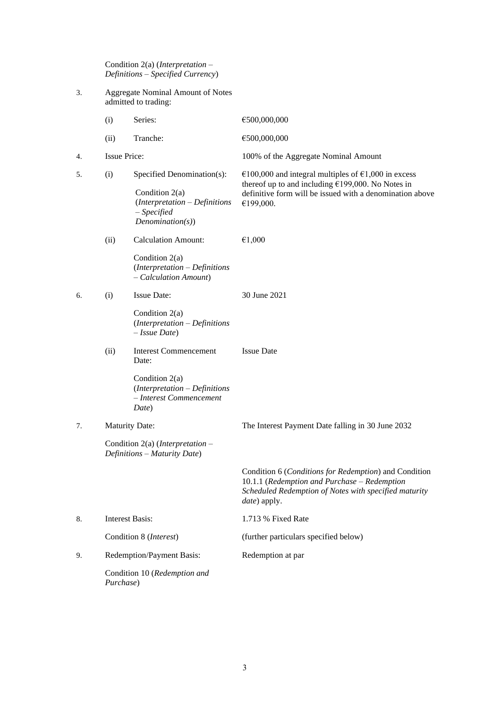Condition 2(a) (*Interpretation – Definitions – Specified Currency*)

3. Aggregate Nominal Amount of Notes admitted to trading:

|    | (i)                    | Series:                                                                                                          | €500,000,000                                                                                                                                                                           |
|----|------------------------|------------------------------------------------------------------------------------------------------------------|----------------------------------------------------------------------------------------------------------------------------------------------------------------------------------------|
|    | (ii)                   | Tranche:                                                                                                         | €500,000,000                                                                                                                                                                           |
| 4. | <b>Issue Price:</b>    |                                                                                                                  | 100% of the Aggregate Nominal Amount                                                                                                                                                   |
| 5. | (i)                    | Specified Denomination(s):<br>Condition 2(a)<br>(Interpretation - Definitions<br>$-$ Specified<br>Denominator(s) | €100,000 and integral multiples of €1,000 in excess<br>thereof up to and including €199,000. No Notes in<br>definitive form will be issued with a denomination above<br>€199,000.      |
|    | (ii)                   | <b>Calculation Amount:</b>                                                                                       | €1,000                                                                                                                                                                                 |
|    |                        | Condition $2(a)$<br>(Interpretation - Definitions<br>- Calculation Amount)                                       |                                                                                                                                                                                        |
| 6. | (i)                    | <b>Issue Date:</b>                                                                                               | 30 June 2021                                                                                                                                                                           |
|    |                        | Condition 2(a)<br>$(Interpretation - Definitions$<br>$-$ <i>Issue Date</i> )                                     |                                                                                                                                                                                        |
|    | (ii)                   | <b>Interest Commencement</b><br>Date:                                                                            | <b>Issue Date</b>                                                                                                                                                                      |
|    |                        | Condition $2(a)$<br>(Interpretation - Definitions<br>- Interest Commencement<br>Date)                            |                                                                                                                                                                                        |
| 7. |                        | <b>Maturity Date:</b>                                                                                            | The Interest Payment Date falling in 30 June 2032                                                                                                                                      |
|    |                        | Condition 2(a) ( <i>Interpretation</i> $-$<br>Definitions - Maturity Date)                                       |                                                                                                                                                                                        |
|    |                        |                                                                                                                  | Condition 6 (Conditions for Redemption) and Condition<br>10.1.1 (Redemption and Purchase - Redemption<br>Scheduled Redemption of Notes with specified maturity<br><i>date</i> ) apply. |
| 8. | <b>Interest Basis:</b> |                                                                                                                  | 1.713 % Fixed Rate                                                                                                                                                                     |
|    |                        | Condition 8 (Interest)                                                                                           | (further particulars specified below)                                                                                                                                                  |
| 9. |                        | Redemption/Payment Basis:                                                                                        | Redemption at par                                                                                                                                                                      |
|    | Purchase)              | Condition 10 (Redemption and                                                                                     |                                                                                                                                                                                        |
|    |                        |                                                                                                                  |                                                                                                                                                                                        |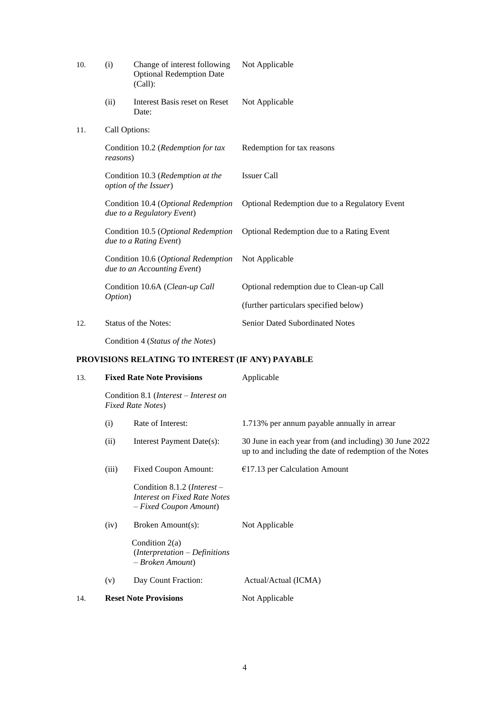| 10. | (i)           | Change of interest following<br><b>Optional Redemption Date</b><br>(Call): | Not Applicable                                |
|-----|---------------|----------------------------------------------------------------------------|-----------------------------------------------|
|     | (ii)          | Interest Basis reset on Reset<br>Date:                                     | Not Applicable                                |
| 11. | Call Options: |                                                                            |                                               |
|     | reasons)      | Condition 10.2 (Redemption for tax                                         | Redemption for tax reasons                    |
|     |               | Condition 10.3 (Redemption at the<br>option of the Issuer)                 | <b>Issuer Call</b>                            |
|     |               | Condition 10.4 (Optional Redemption<br>due to a Regulatory Event)          | Optional Redemption due to a Regulatory Event |
|     |               | Condition 10.5 (Optional Redemption<br>due to a Rating Event)              | Optional Redemption due to a Rating Event     |
|     |               | Condition 10.6 (Optional Redemption<br>due to an Accounting Event)         | Not Applicable                                |
|     |               | Condition 10.6A (Clean-up Call                                             | Optional redemption due to Clean-up Call      |
|     | Option)       |                                                                            | (further particulars specified below)         |
| 12. |               | <b>Status of the Notes:</b>                                                | <b>Senior Dated Subordinated Notes</b>        |
|     |               |                                                                            |                                               |

Condition 4 (*Status of the Notes*)

# **PROVISIONS RELATING TO INTEREST (IF ANY) PAYABLE**

| 13. |       | <b>Fixed Rate Note Provisions</b>                                                                | Applicable                                                                                                        |
|-----|-------|--------------------------------------------------------------------------------------------------|-------------------------------------------------------------------------------------------------------------------|
|     |       | Condition 8.1 ( <i>Interest – Interest on</i><br><b>Fixed Rate Notes</b> )                       |                                                                                                                   |
|     | (i)   | Rate of Interest:                                                                                | 1.713% per annum payable annually in arrear                                                                       |
|     | (ii)  | Interest Payment Date(s):                                                                        | 30 June in each year from (and including) 30 June 2022<br>up to and including the date of redemption of the Notes |
|     | (iii) | <b>Fixed Coupon Amount:</b>                                                                      | $€17.13$ per Calculation Amount                                                                                   |
|     |       | Condition 8.1.2 ( <i>Interest</i> –<br>Interest on Fixed Rate Notes<br>$-Fixed\,Coupon\,Amount)$ |                                                                                                                   |
|     | (iv)  | Broken Amount(s):                                                                                | Not Applicable                                                                                                    |
|     |       | Condition $2(a)$<br>$(Interpretation - Definitions$<br>- Broken Amount)                          |                                                                                                                   |
|     | (v)   | Day Count Fraction:                                                                              | Actual/Actual (ICMA)                                                                                              |
| 14. |       | <b>Reset Note Provisions</b>                                                                     | Not Applicable                                                                                                    |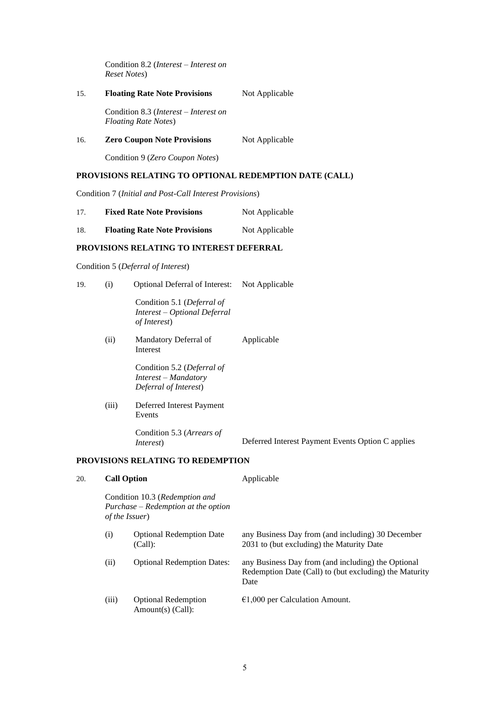Condition 8.2 (*Interest – Interest on Reset Notes*)

| 15. | <b>Floating Rate Note Provisions</b> | Not Applicable |
|-----|--------------------------------------|----------------|
|     |                                      |                |

Condition 8.3 (*Interest – Interest on Floating Rate Notes*)

16. **Zero Coupon Note Provisions** Not Applicable

Condition 9 (*Zero Coupon Notes*)

# **PROVISIONS RELATING TO OPTIONAL REDEMPTION DATE (CALL)**

Condition 7 (*Initial and Post-Call Interest Provisions*)

| 17. | <b>Fixed Rate Note Provisions</b> | Not Applicable |
|-----|-----------------------------------|----------------|
|-----|-----------------------------------|----------------|

| 18. | <b>Floating Rate Note Provisions</b> | Not Applicable |
|-----|--------------------------------------|----------------|
|     |                                      |                |

# **PROVISIONS RELATING TO INTEREST DEFERRAL**

Condition 5 (*Deferral of Interest*)

| 19. | (i)                                                  | <b>Optional Deferral of Interest:</b>                                              | Not Applicable                                    |
|-----|------------------------------------------------------|------------------------------------------------------------------------------------|---------------------------------------------------|
|     |                                                      | Condition 5.1 (Deferral of<br>Interest – Optional Deferral<br><i>of Interest</i> ) |                                                   |
|     | (ii)                                                 | Mandatory Deferral of<br>Interest                                                  | Applicable                                        |
|     |                                                      | Condition 5.2 (Deferral of<br>Interest - Mandatory<br>Deferral of Interest)        |                                                   |
|     | (iii)                                                | Deferred Interest Payment<br>Events                                                |                                                   |
|     |                                                      | Condition 5.3 (Arrears of<br><i>Interest</i> )                                     | Deferred Interest Payment Events Option C applies |
|     |                                                      | PROVISIONS RELATING TO REDEMPTION                                                  |                                                   |
| 20. | <b>Call Option</b><br>Condition 10.3 (Redemption and |                                                                                    | Applicable                                        |
|     |                                                      |                                                                                    |                                                   |

*Purchase – Redemption at the option of the Issuer*)

| (i)   | <b>Optional Redemption Date</b><br>(Call):      | any Business Day from (and including) 30 December<br>2031 to (but excluding) the Maturity Date                       |
|-------|-------------------------------------------------|----------------------------------------------------------------------------------------------------------------------|
| (ii)  | <b>Optional Redemption Dates:</b>               | any Business Day from (and including) the Optional<br>Redemption Date (Call) to (but excluding) the Maturity<br>Date |
| (iii) | <b>Optional Redemption</b><br>Amount(s) (Call): | $\epsilon$ 1,000 per Calculation Amount.                                                                             |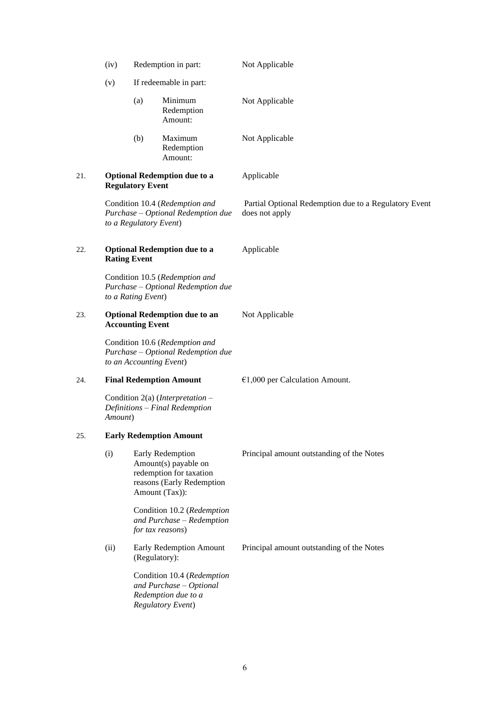|     | (iv)                                                                                                     | Redemption in part:                                                                                                | Not Applicable                                                          |  |
|-----|----------------------------------------------------------------------------------------------------------|--------------------------------------------------------------------------------------------------------------------|-------------------------------------------------------------------------|--|
|     | (v)                                                                                                      | If redeemable in part:                                                                                             |                                                                         |  |
|     |                                                                                                          | (a)<br>Minimum<br>Redemption<br>Amount:                                                                            | Not Applicable                                                          |  |
|     |                                                                                                          | (b)<br>Maximum<br>Redemption<br>Amount:                                                                            | Not Applicable                                                          |  |
| 21. |                                                                                                          | <b>Optional Redemption due to a</b><br><b>Regulatory Event</b>                                                     | Applicable                                                              |  |
|     |                                                                                                          | Condition 10.4 (Redemption and<br>Purchase - Optional Redemption due<br>to a Regulatory Event)                     | Partial Optional Redemption due to a Regulatory Event<br>does not apply |  |
| 22. |                                                                                                          | <b>Optional Redemption due to a</b><br><b>Rating Event</b>                                                         | Applicable                                                              |  |
|     |                                                                                                          | Condition 10.5 (Redemption and<br>Purchase - Optional Redemption due<br>to a Rating Event)                         |                                                                         |  |
| 23. |                                                                                                          | <b>Optional Redemption due to an</b><br><b>Accounting Event</b>                                                    | Not Applicable                                                          |  |
|     | Condition 10.6 (Redemption and<br>Purchase - Optional Redemption due<br>to an Accounting Event)          |                                                                                                                    |                                                                         |  |
| 24. |                                                                                                          | <b>Final Redemption Amount</b>                                                                                     | $€1,000$ per Calculation Amount.                                        |  |
|     | Amount)                                                                                                  | Condition 2(a) ( <i>Interpretation</i> –<br>Definitions - Final Redemption                                         |                                                                         |  |
| 25. |                                                                                                          | <b>Early Redemption Amount</b>                                                                                     |                                                                         |  |
|     | (i)                                                                                                      | Early Redemption<br>Amount(s) payable on<br>redemption for taxation<br>reasons (Early Redemption<br>Amount (Tax)): | Principal amount outstanding of the Notes                               |  |
|     |                                                                                                          | Condition 10.2 (Redemption<br>and Purchase - Redemption<br>for tax reasons)                                        |                                                                         |  |
|     | (ii)                                                                                                     | Early Redemption Amount<br>(Regulatory):                                                                           | Principal amount outstanding of the Notes                               |  |
|     | Condition 10.4 (Redemption<br>and Purchase - Optional<br>Redemption due to a<br><b>Regulatory Event)</b> |                                                                                                                    |                                                                         |  |
|     |                                                                                                          |                                                                                                                    |                                                                         |  |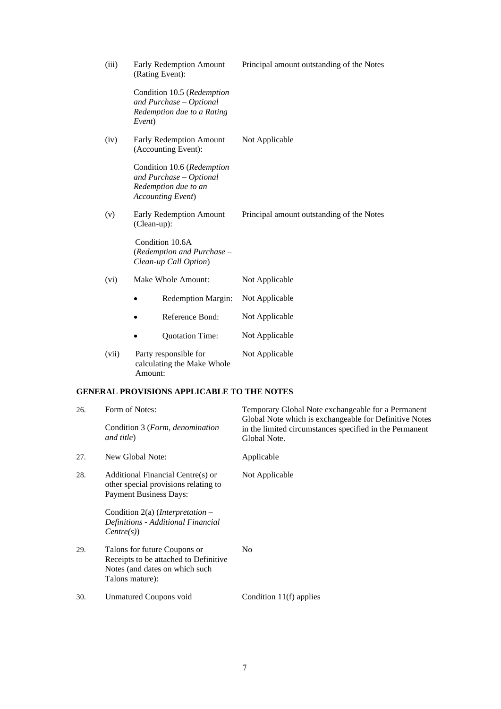| Condition 10.5 (Redemption<br>and Purchase - Optional<br>Redemption due to a Rating<br>Event)<br>(iv)<br>Early Redemption Amount<br>Not Applicable<br>(Accounting Event):<br>Condition 10.6 (Redemption<br>and Purchase - Optional<br>Redemption due to an<br><b>Accounting Event)</b><br>(v)<br>Early Redemption Amount<br>Principal amount outstanding of the Notes<br>(Clean-up):<br>Condition 10.6A<br>(Redemption and Purchase -<br>Clean-up Call Option)<br>(vi)<br>Make Whole Amount:<br>Not Applicable<br>Not Applicable<br><b>Redemption Margin:</b><br>Reference Bond:<br>Not Applicable<br>Not Applicable<br>Quotation Time:<br>(vii)<br>Party responsible for<br>Not Applicable<br>calculating the Make Whole<br>Amount:<br><b>GENERAL PROVISIONS APPLICABLE TO THE NOTES</b><br>Form of Notes:<br>26.<br>Global Note which is exchangeable for Definitive Notes<br>Condition 3 (Form, denomination<br>and title)<br>Global Note.<br>New Global Note:<br>27.<br>Applicable | (iii) | Early Redemption Amount<br>(Rating Event): | Principal amount outstanding of the Notes               |
|----------------------------------------------------------------------------------------------------------------------------------------------------------------------------------------------------------------------------------------------------------------------------------------------------------------------------------------------------------------------------------------------------------------------------------------------------------------------------------------------------------------------------------------------------------------------------------------------------------------------------------------------------------------------------------------------------------------------------------------------------------------------------------------------------------------------------------------------------------------------------------------------------------------------------------------------------------------------------------------|-------|--------------------------------------------|---------------------------------------------------------|
|                                                                                                                                                                                                                                                                                                                                                                                                                                                                                                                                                                                                                                                                                                                                                                                                                                                                                                                                                                                        |       |                                            |                                                         |
|                                                                                                                                                                                                                                                                                                                                                                                                                                                                                                                                                                                                                                                                                                                                                                                                                                                                                                                                                                                        |       |                                            |                                                         |
|                                                                                                                                                                                                                                                                                                                                                                                                                                                                                                                                                                                                                                                                                                                                                                                                                                                                                                                                                                                        |       |                                            |                                                         |
|                                                                                                                                                                                                                                                                                                                                                                                                                                                                                                                                                                                                                                                                                                                                                                                                                                                                                                                                                                                        |       |                                            |                                                         |
|                                                                                                                                                                                                                                                                                                                                                                                                                                                                                                                                                                                                                                                                                                                                                                                                                                                                                                                                                                                        |       |                                            |                                                         |
|                                                                                                                                                                                                                                                                                                                                                                                                                                                                                                                                                                                                                                                                                                                                                                                                                                                                                                                                                                                        |       |                                            |                                                         |
|                                                                                                                                                                                                                                                                                                                                                                                                                                                                                                                                                                                                                                                                                                                                                                                                                                                                                                                                                                                        |       |                                            |                                                         |
|                                                                                                                                                                                                                                                                                                                                                                                                                                                                                                                                                                                                                                                                                                                                                                                                                                                                                                                                                                                        |       |                                            |                                                         |
|                                                                                                                                                                                                                                                                                                                                                                                                                                                                                                                                                                                                                                                                                                                                                                                                                                                                                                                                                                                        |       |                                            |                                                         |
|                                                                                                                                                                                                                                                                                                                                                                                                                                                                                                                                                                                                                                                                                                                                                                                                                                                                                                                                                                                        |       |                                            |                                                         |
|                                                                                                                                                                                                                                                                                                                                                                                                                                                                                                                                                                                                                                                                                                                                                                                                                                                                                                                                                                                        |       |                                            |                                                         |
|                                                                                                                                                                                                                                                                                                                                                                                                                                                                                                                                                                                                                                                                                                                                                                                                                                                                                                                                                                                        |       |                                            | Temporary Global Note exchangeable for a Permanent      |
|                                                                                                                                                                                                                                                                                                                                                                                                                                                                                                                                                                                                                                                                                                                                                                                                                                                                                                                                                                                        |       |                                            | in the limited circumstances specified in the Permanent |
|                                                                                                                                                                                                                                                                                                                                                                                                                                                                                                                                                                                                                                                                                                                                                                                                                                                                                                                                                                                        |       |                                            |                                                         |

28. Additional Financial Centre(s) or other special provisions relating to Payment Business Days:

Condition 2(a) (*Interpretation – Definitions - Additional Financial Centre(s)*)

- 29. Talons for future Coupons or Receipts to be attached to Definitive Notes (and dates on which such Talons mature): No
- 30. Unmatured Coupons void Condition 11(f) applies

Not Applicable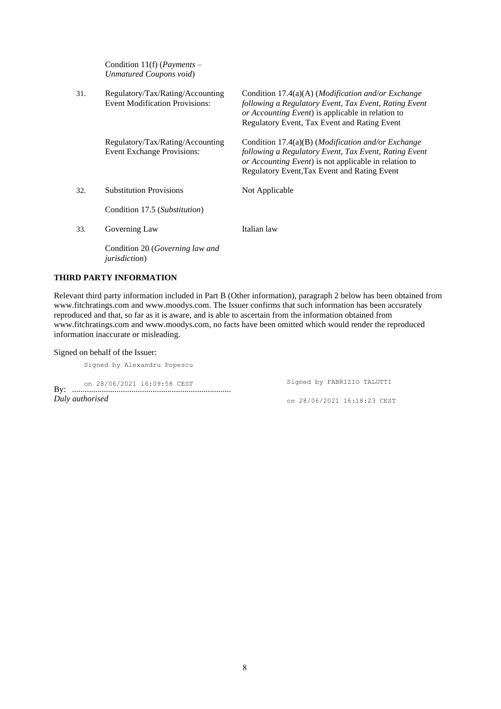Condition 11(f) (*Payments – Unmatured Coupons void*)

| 31. | Regulatory/Tax/Rating/Accounting<br><b>Event Modification Provisions:</b> | Condition 17.4(a)(A) ( <i>Modification and/or Exchange</i><br>following a Regulatory Event, Tax Event, Rating Event<br>or Accounting Event) is applicable in relation to<br>Regulatory Event, Tax Event and Rating Event     |
|-----|---------------------------------------------------------------------------|------------------------------------------------------------------------------------------------------------------------------------------------------------------------------------------------------------------------------|
|     | Regulatory/Tax/Rating/Accounting<br><b>Event Exchange Provisions:</b>     | Condition 17.4(a)(B) ( <i>Modification and/or Exchange</i><br>following a Regulatory Event, Tax Event, Rating Event<br>or Accounting Event) is not applicable in relation to<br>Regulatory Event, Tax Event and Rating Event |
| 32. | <b>Substitution Provisions</b>                                            | Not Applicable                                                                                                                                                                                                               |
|     | Condition 17.5 (Substitution)                                             |                                                                                                                                                                                                                              |
| 33. | Governing Law                                                             | Italian law                                                                                                                                                                                                                  |
|     | Condition 20 ( <i>Governing law and</i><br><i>jurisdiction</i> )          |                                                                                                                                                                                                                              |

# **THIRD PARTY INFORMATION**

Relevant third party information included in Part B (Other information), paragraph 2 below has been obtained from [www.fitchratings.com](http://www.fitchratings.com/) and [www.moodys.com.](http://www.moodys.com/) The Issuer confirms that such information has been accurately reproduced and that, so far as it is aware, and is able to ascertain from the information obtained from [www.fitchratings.com](http://www.fitchratings.com/) and [www.moodys.com,](http://www.moodys.com/) no facts have been omitted which would render the reproduced information inaccurate or misleading.

# Signed on behalf of the Issuer:

Signed by Alexandru Popescu

By: ........................................................................... on 28/06/2021 16:09:58 CEST *Duly authorised*

Signed by FABRIZIO TALOTTI on 28/06/2021 16:18:23 CEST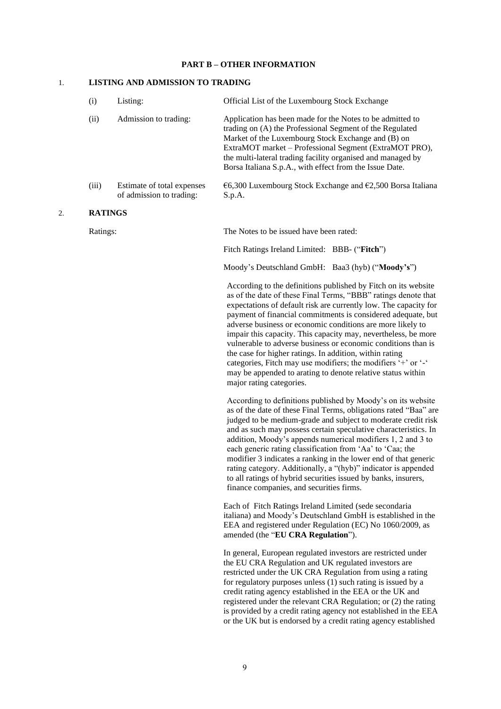### **PART B – OTHER INFORMATION**

#### 1. **LISTING AND ADMISSION TO TRADING**

of admission to trading:

| (i)   | Listing:                   | Official List of the Luxembourg Stock Exchange                                                                                                                                                                                                                                                                                                                  |
|-------|----------------------------|-----------------------------------------------------------------------------------------------------------------------------------------------------------------------------------------------------------------------------------------------------------------------------------------------------------------------------------------------------------------|
| (ii)  | Admission to trading:      | Application has been made for the Notes to be admitted to<br>trading on (A) the Professional Segment of the Regulated<br>Market of the Luxembourg Stock Exchange and (B) on<br>ExtraMOT market – Professional Segment (ExtraMOT PRO),<br>the multi-lateral trading facility organised and managed by<br>Borsa Italiana S.p.A., with effect from the Issue Date. |
| (iii) | Estimate of total expenses | $\epsilon$ 6,300 Luxembourg Stock Exchange and $\epsilon$ 2,500 Borsa Italiana                                                                                                                                                                                                                                                                                  |

major rating categories.

S.p.A.

#### 2. **RATINGS**

Ratings: The Notes to be issued have been rated:

Moody's Deutschland GmbH: Baa3 (hyb) ("**Moody's**") According to the definitions published by Fitch on its website as of the date of these Final Terms, "BBB" ratings denote that expectations of default risk are currently low. The capacity for payment of financial commitments is considered adequate, but adverse business or economic conditions are more likely to impair this capacity. This capacity may, nevertheless, be more vulnerable to adverse business or economic conditions than is the case for higher ratings. In addition, within rating categories, Fitch may use modifiers; the modifiers '+' or '-' may be appended to arating to denote relative status within

Fitch Ratings Ireland Limited: BBB- ("**Fitch**")

According to definitions published by Moody's on its website as of the date of these Final Terms, obligations rated "Baa" are judged to be medium-grade and subject to moderate credit risk and as such may possess certain speculative characteristics. In addition, Moody's appends numerical modifiers 1, 2 and 3 to each generic rating classification from 'Aa' to 'Caa; the modifier 3 indicates a ranking in the lower end of that generic rating category. Additionally, a "(hyb)" indicator is appended to all ratings of hybrid securities issued by banks, insurers, finance companies, and securities firms.

Each of Fitch Ratings Ireland Limited (sede secondaria italiana) and Moody's Deutschland GmbH is established in the EEA and registered under Regulation (EC) No 1060/2009, as amended (the "**EU CRA Regulation**").

In general, European regulated investors are restricted under the EU CRA Regulation and UK regulated investors are restricted under the UK CRA Regulation from using a rating for regulatory purposes unless (1) such rating is issued by a credit rating agency established in the EEA or the UK and registered under the relevant CRA Regulation; or (2) the rating is provided by a credit rating agency not established in the EEA or the UK but is endorsed by a credit rating agency established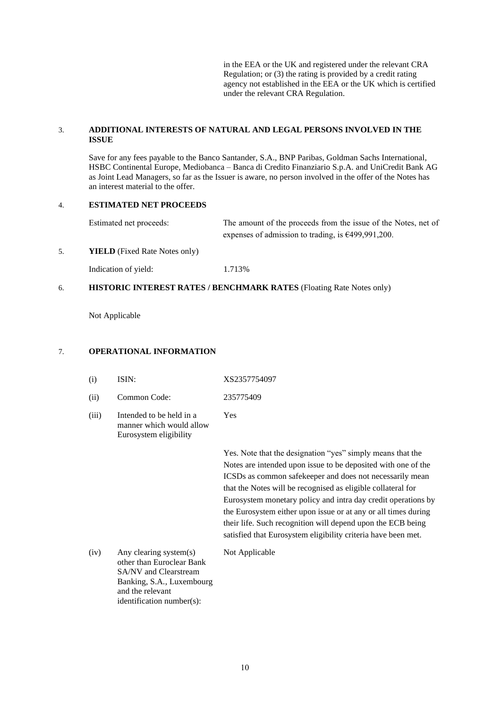in the EEA or the UK and registered under the relevant CRA Regulation; or (3) the rating is provided by a credit rating agency not established in the EEA or the UK which is certified under the relevant CRA Regulation.

# 3. **ADDITIONAL INTERESTS OF NATURAL AND LEGAL PERSONS INVOLVED IN THE ISSUE**

Save for any fees payable to the Banco Santander, S.A., BNP Paribas, Goldman Sachs International, HSBC Continental Europe, Mediobanca – Banca di Credito Finanziario S.p.A. and UniCredit Bank AG as Joint Lead Managers, so far as the Issuer is aware, no person involved in the offer of the Notes has an interest material to the offer.

# 4. **ESTIMATED NET PROCEEDS**

Estimated net proceeds: The amount of the proceeds from the issue of the Notes, net of expenses of admission to trading, is €499,991,200.

# 5. **YIELD** (Fixed Rate Notes only)

Indication of yield: 1.713%

#### 6. **HISTORIC INTEREST RATES / BENCHMARK RATES** (Floating Rate Notes only)

Not Applicable

#### 7. 7 **OPERATIONAL INFORMATION**

| (i)   | ISIN:                                                                          | XS2357754097                                                           |
|-------|--------------------------------------------------------------------------------|------------------------------------------------------------------------|
| (ii)  | Common Code:                                                                   | 235775409                                                              |
| (iii) | Intended to be held in a<br>manner which would allow<br>Eurosystem eligibility | Yes                                                                    |
|       |                                                                                | Yes. Note that the des<br>Notes are intended up<br>ICSDs as common sat |
|       |                                                                                | that the Notes will be                                                 |

ignation "yes" simply means that the on issue to be deposited with one of the fekeeper and does not necessarily mean that the Notes will be recognised as eligible collateral for Eurosystem monetary policy and intra day credit operations by the Eurosystem either upon issue or at any or all times during their life. Such recognition will depend upon the ECB being satisfied that Eurosystem eligibility criteria have been met.

(iv) Any clearing system(s) other than Euroclear Bank SA/NV and Clearstream Banking, S.A*.*, Luxembourg and the relevant identification number(s):

Not Applicable